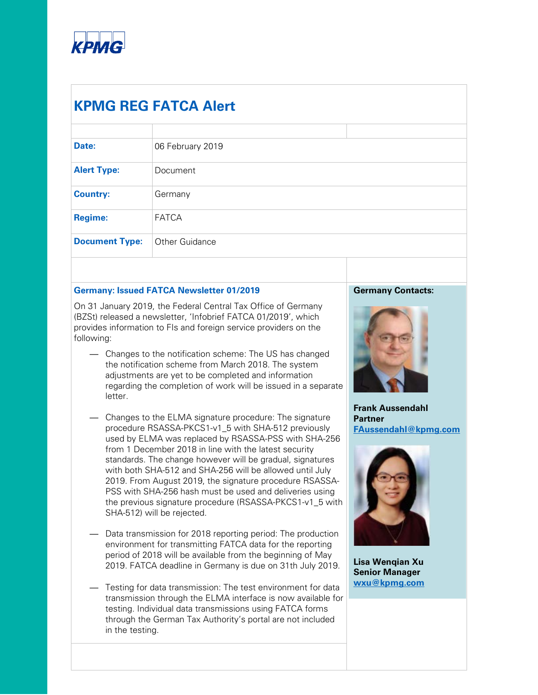

# **KPMG REG FATCA Alert**

| Date:                 | 06 February 2019 |  |
|-----------------------|------------------|--|
| <b>Alert Type:</b>    | Document         |  |
| <b>Country:</b>       | Germany          |  |
| <b>Regime:</b>        | <b>FATCA</b>     |  |
| <b>Document Type:</b> | Other Guidance   |  |
|                       |                  |  |

## **Germany: Issued FATCA Newsletter 01/2019**

On 31 January 2019, the Federal Central Tax Office of Germany (BZSt) released a newsletter, 'Infobrief FATCA 01/2019', which provides information to FIs and foreign service providers on the following:

- Changes to the notification scheme: The US has changed the notification scheme from March 2018. The system adjustments are yet to be completed and information regarding the completion of work will be issued in a separate letter.
- Changes to the ELMA signature procedure: The signature procedure RSASSA-PKCS1-v1\_5 with SHA-512 previously used by ELMA was replaced by RSASSA-PSS with SHA-256 from 1 December 2018 in line with the latest security standards. The change however will be gradual, signatures with both SHA-512 and SHA-256 will be allowed until July 2019. From August 2019, the signature procedure RSASSA-PSS with SHA-256 hash must be used and deliveries using the previous signature procedure (RSASSA-PKCS1-v1\_5 with SHA-512) will be rejected.
- Data transmission for 2018 reporting period: The production environment for transmitting FATCA data for the reporting period of 2018 will be available from the beginning of May 2019. FATCA deadline in Germany is due on 31th July 2019.
- Testing for data transmission: The test environment for data transmission through the ELMA interface is now available for testing. Individual data transmissions using FATCA forms through the German Tax Authority's portal are not included in the testing.

## **Germany Contacts:**



**Frank Aussendahl Partner [FAussendahl@kpmg.com](mailto:FAussendahl@kpmg.com)**



**Lisa Wenqian Xu Senior Manager [wxu@kpmg.com](mailto:wxu@kpmg.com)**